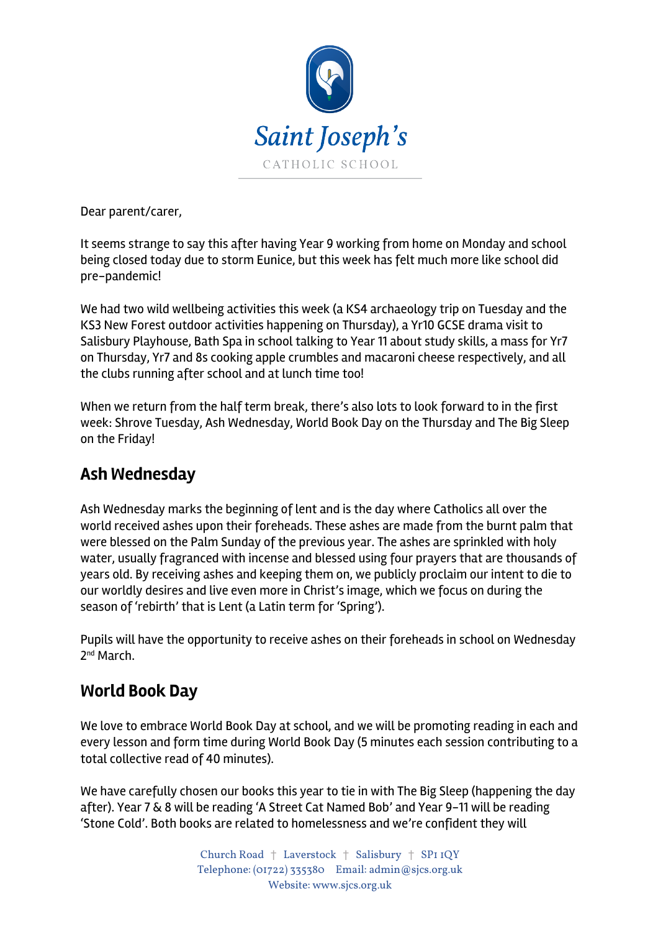

Dear parent/carer,

It seems strange to say this after having Year 9 working from home on Monday and school being closed today due to storm Eunice, but this week has felt much more like school did pre-pandemic!

We had two wild wellbeing activities this week (a KS4 archaeology trip on Tuesday and the KS3 New Forest outdoor activities happening on Thursday), a Yr10 GCSE drama visit to Salisbury Playhouse, Bath Spa in school talking to Year 11 about study skills, a mass for Yr7 on Thursday, Yr7 and 8s cooking apple crumbles and macaroni cheese respectively, and all the clubs running after school and at lunch time too!

When we return from the half term break, there's also lots to look forward to in the first week: Shrove Tuesday, Ash Wednesday, World Book Day on the Thursday and The Big Sleep on the Friday!

## **Ash Wednesday**

Ash Wednesday marks the beginning of lent and is the day where Catholics all over the world received ashes upon their foreheads. These ashes are made from the burnt palm that were blessed on the Palm Sunday of the previous year. The ashes are sprinkled with holy water, usually fragranced with incense and blessed using four prayers that are thousands of years old. By receiving ashes and keeping them on, we publicly proclaim our intent to die to our worldly desires and live even more in Christ's image, which we focus on during the season of 'rebirth' that is Lent (a Latin term for 'Spring').

Pupils will have the opportunity to receive ashes on their foreheads in school on Wednesday 2nd March.

## **World Book Day**

We love to embrace World Book Day at school, and we will be promoting reading in each and every lesson and form time during World Book Day (5 minutes each session contributing to a total collective read of 40 minutes).

We have carefully chosen our books this year to tie in with The Big Sleep (happening the day after). Year 7 & 8 will be reading 'A Street Cat Named Bob' and Year 9-11 will be reading 'Stone Cold'. Both books are related to homelessness and we're confident they will

> Church Road † Laverstock † Salisbury † SP1 1QY Telephone: (01722) 335380 Email: admin@sjcs.org.uk Website: www.sjcs.org.uk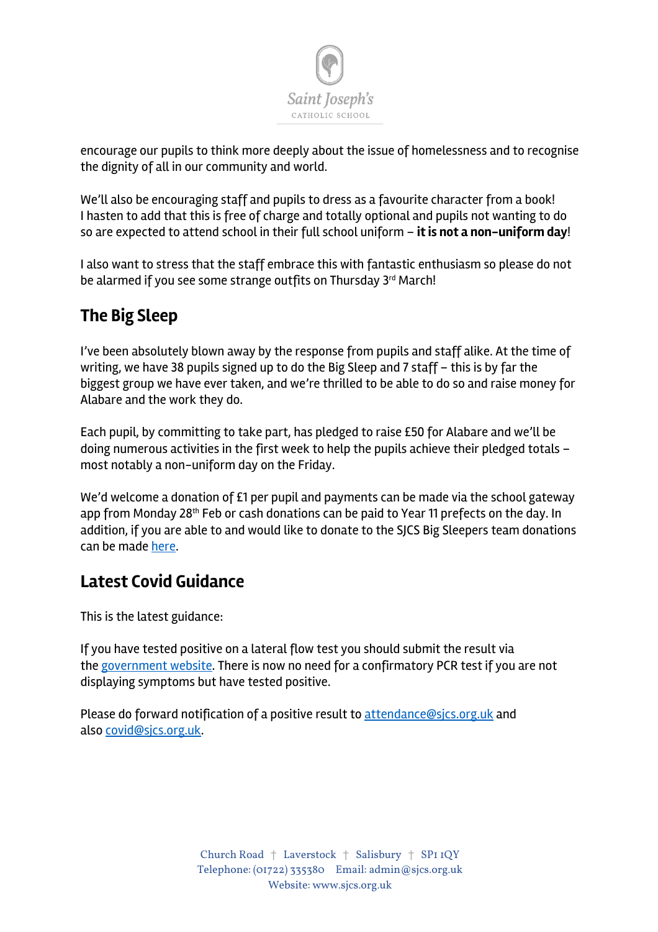

encourage our pupils to think more deeply about the issue of homelessness and to recognise the dignity of all in our community and world.

We'll also be encouraging staff and pupils to dress as a favourite character from a book! I hasten to add that this is free of charge and totally optional and pupils not wanting to do so are expected to attend school in their full school uniform – **it is not a non-uniform day**!

I also want to stress that the staff embrace this with fantastic enthusiasm so please do not be alarmed if you see some strange outfits on Thursday 3rd March!

# **The Big Sleep**

I've been absolutely blown away by the response from pupils and staff alike. At the time of writing, we have 38 pupils signed up to do the Big Sleep and 7 staff – this is by far the biggest group we have ever taken, and we're thrilled to be able to do so and raise money for Alabare and the work they do.

Each pupil, by committing to take part, has pledged to raise £50 for Alabare and we'll be doing numerous activities in the first week to help the pupils achieve their pledged totals – most notably a non-uniform day on the Friday.

We'd welcome a donation of £1 per pupil and payments can be made via the school gateway app from Monday 28<sup>th</sup> Feb or cash donations can be paid to Year 11 prefects on the day. In addition, if you are able to and would like to donate to the SJCS Big Sleepers team donations can be made here.

## **Latest Covid Guidance**

This is the latest guidance:

If you have tested positive on a lateral flow test you should submit the result via the government website. There is now no need for a confirmatory PCR test if you are not displaying symptoms but have tested positive.

Please do forward notification of a positive result to attendance@sjcs.org.uk and also covid@sjcs.org.uk.